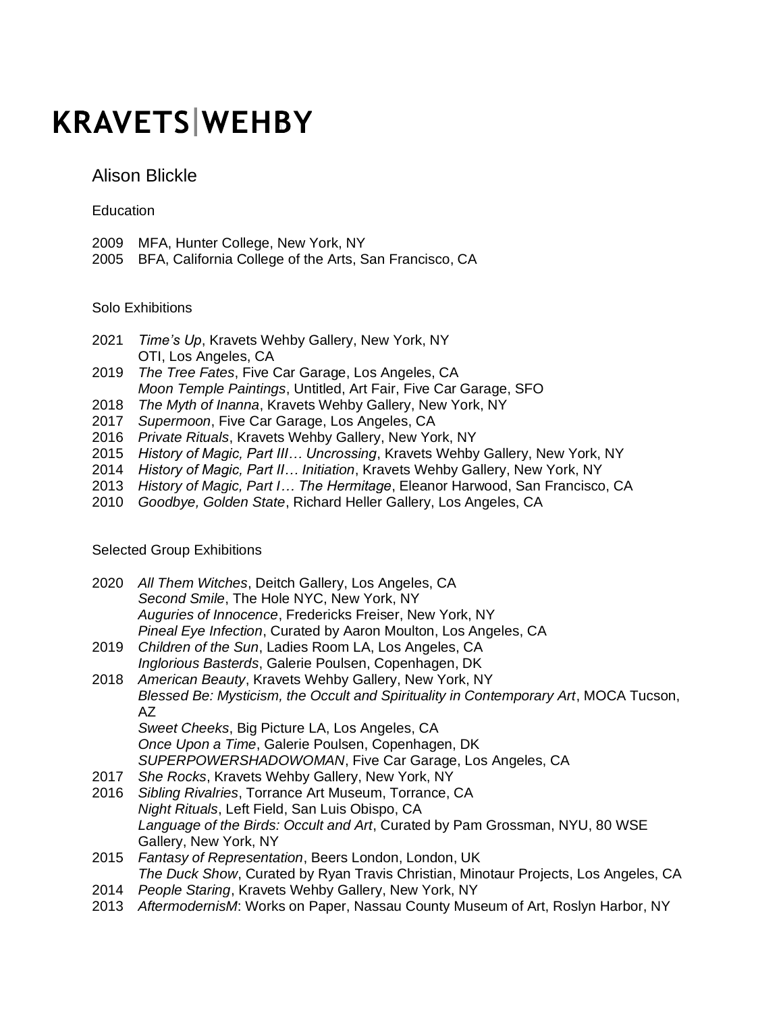## **KRAVETS WEHBY**

Alison Blickle

Education

- 2009 MFA, Hunter College, New York, NY
- 2005 BFA, California College of the Arts, San Francisco, CA

Solo Exhibitions

- 2021 *Time's Up*, Kravets Wehby Gallery, New York, NY OTI, Los Angeles, CA
- 2019 *The Tree Fates*, Five Car Garage, Los Angeles, CA *Moon Temple Paintings*, Untitled, Art Fair, Five Car Garage, SFO
- 2018 *The Myth of Inanna*, Kravets Wehby Gallery, New York, NY
- 2017 *Supermoon*, Five Car Garage, Los Angeles, CA
- 2016 *Private Rituals*, Kravets Wehby Gallery, New York, NY
- 2015 *History of Magic, Part III… Uncrossing*, Kravets Wehby Gallery, New York, NY
- 2014 *History of Magic, Part II… Initiation*, Kravets Wehby Gallery, New York, NY
- 2013 *History of Magic, Part I… The Hermitage*, Eleanor Harwood, San Francisco, CA
- 2010 *Goodbye, Golden State*, Richard Heller Gallery, Los Angeles, CA

Selected Group Exhibitions

| 2020 | All Them Witches, Deitch Gallery, Los Angeles, CA<br>Second Smile, The Hole NYC, New York, NY                              |
|------|----------------------------------------------------------------------------------------------------------------------------|
|      | Auguries of Innocence, Fredericks Freiser, New York, NY<br>Pineal Eye Infection, Curated by Aaron Moulton, Los Angeles, CA |
| 2019 | Children of the Sun, Ladies Room LA, Los Angeles, CA                                                                       |
|      | Inglorious Basterds, Galerie Poulsen, Copenhagen, DK                                                                       |
| 2018 | American Beauty, Kravets Wehby Gallery, New York, NY                                                                       |
|      | Blessed Be: Mysticism, the Occult and Spirituality in Contemporary Art, MOCA Tucson,<br>AZ.                                |
|      | Sweet Cheeks, Big Picture LA, Los Angeles, CA                                                                              |
|      | Once Upon a Time, Galerie Poulsen, Copenhagen, DK                                                                          |
|      | SUPERPOWERSHADOWOMAN, Five Car Garage, Los Angeles, CA                                                                     |
| 2017 | She Rocks, Kravets Wehby Gallery, New York, NY                                                                             |
| 2016 | Sibling Rivalries, Torrance Art Museum, Torrance, CA                                                                       |
|      | Night Rituals, Left Field, San Luis Obispo, CA                                                                             |
|      | Language of the Birds: Occult and Art, Curated by Pam Grossman, NYU, 80 WSE                                                |
|      | Gallery, New York, NY                                                                                                      |
| 2015 | Fantasy of Representation, Beers London, London, UK                                                                        |
|      | The Duck Show, Curated by Ryan Travis Christian, Minotaur Projects, Los Angeles, CA                                        |
| 2014 | People Staring, Kravets Wehby Gallery, New York, NY                                                                        |

2013 *AftermodernisM*: Works on Paper, Nassau County Museum of Art, Roslyn Harbor, NY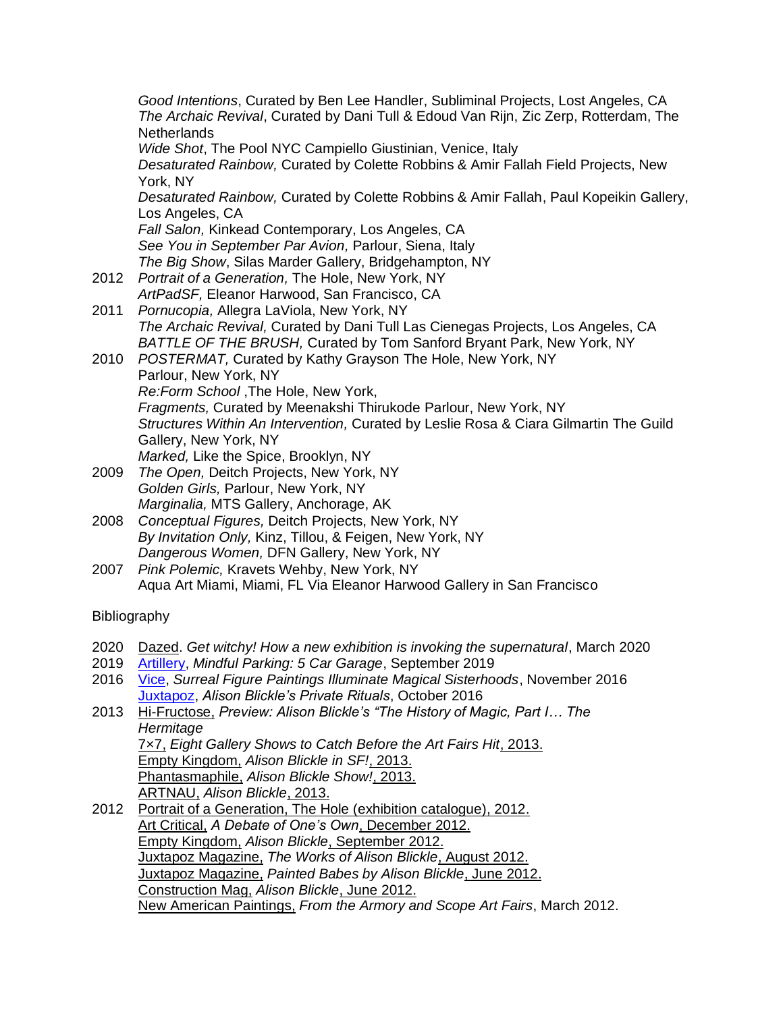*Good Intentions*, Curated by Ben Lee Handler, Subliminal Projects, Lost Angeles, CA *The Archaic Revival*, Curated by Dani Tull & Edoud Van Rijn, Zic Zerp, Rotterdam, The **Netherlands** *Wide Shot*, The Pool NYC Campiello Giustinian, Venice, Italy *Desaturated Rainbow,* Curated by Colette Robbins & Amir Fallah Field Projects, New York, NY *Desaturated Rainbow,* Curated by Colette Robbins & Amir Fallah, Paul Kopeikin Gallery, Los Angeles, CA *Fall Salon,* Kinkead Contemporary, Los Angeles, CA *See You in September Par Avion,* Parlour, Siena, Italy *The Big Show*, Silas Marder Gallery, Bridgehampton, NY 2012 *Portrait of a Generation,* The Hole, New York, NY *ArtPadSF,* Eleanor Harwood, San Francisco, CA 2011 *Pornucopia,* Allegra LaViola, New York, NY *The Archaic Revival,* Curated by Dani Tull Las Cienegas Projects, Los Angeles, CA *BATTLE OF THE BRUSH,* Curated by Tom Sanford Bryant Park, New York, NY 2010 *POSTERMAT,* Curated by Kathy Grayson The Hole, New York, NY Parlour, New York, NY *Re:Form School* ,The Hole, New York, *Fragments,* Curated by Meenakshi Thirukode Parlour, New York, NY *Structures Within An Intervention,* Curated by Leslie Rosa & Ciara Gilmartin The Guild Gallery, New York, NY *Marked,* Like the Spice, Brooklyn, NY 2009 *The Open,* Deitch Projects, New York, NY *Golden Girls,* Parlour, New York, NY *Marginalia,* MTS Gallery, Anchorage, AK 2008 *Conceptual Figures,* Deitch Projects, New York, NY *By Invitation Only,* Kinz, Tillou, & Feigen, New York, NY

- *Dangerous Women,* DFN Gallery, New York, NY
- 2007 *Pink Polemic,* Kravets Wehby, New York, NY Aqua Art Miami, Miami, FL Via Eleanor Harwood Gallery in San Francisco

## Bibliography

|  |  |  |  |  |  | 2020 Dazed. Get witchy! How a new exhibition is invoking the supernatural, March 2020 |  |
|--|--|--|--|--|--|---------------------------------------------------------------------------------------|--|
|--|--|--|--|--|--|---------------------------------------------------------------------------------------|--|

- 2019 [Artillery,](https://artillerymag.com/mindful-parking/) *Mindful Parking: 5 Car Garage*, September 2019
- 2016 [Vice,](https://www.vice.com/en/article/4xqz4m/magical-birth-rituals-figure-paintings) *Surreal Figure Paintings Illuminate Magical Sisterhoods*, November 2016 [Juxtapoz,](https://www.juxtapoz.com/news/painting/alison-blickle-s-private-rituals/) *Alison Blickle's Private Rituals*, October 2016
- 2013 Hi-Fructose, *Preview: Alison Blickle's ["The History of Magic, Part I… The](http://hifructose.com/2013/04/30/preview-alison-blickles-the-history-of-magic-part-i-the-hermitage/)  [Hermitage](http://hifructose.com/2013/04/30/preview-alison-blickles-the-history-of-magic-part-i-the-hermitage/)*  7×7, *[Eight Gallery Shows to Catch Before the Art Fairs Hit](http://www.7x7.com/arts-culture/8-gallery-exhibitions-catch-art-fairs-hit)*, 2013. Empty Kingdom, *[Alison Blickle in SF!](http://www.emptykingdom.com/featured/alison-blickle-in-sf/)*, 2013. Phantasmaphile, *[Alison Blickle Show!](http://www.phantasmaphile.com/2013/04/alison-blickle-show.html)*, 2013. ARTNAU, *[Alison Blickle](http://www.artnau.com/2013/03/alison-blickle/)*, 2013.
- 2012 [Portrait of a Generation, The Hole \(exhibition catalogue\), 2012.](http://shop.theholenyc.com/products/portrait-of-a-generation) Art Critical, *[A Debate of One's Own](http://www.artcritical.com/2012/12/17/rema-hort-mann/)*, December 2012. Empty Kingdom, *Alison Blickle*[, September 2012.](http://www.emptykingdom.com/main/featured/alison-blickle/#more-64851) Juxtapoz Magazine, *[The Works of Alison Blickle](http://www.juxtapoz.com/Current/the-works-of-alison-blickle)*, August 2012. Juxtapoz Magazine, *[Painted Babes by Alison Blickle](http://www.juxtapoz.com/Erotica/painted-babes-by-alison-blickle)*, June 2012. [Construction Mag,](http://constructionmag.tumblr.com/post/24294145327/tacticalshoyu-alison-blickle-paintings) *Alison Blickle*, June 2012. New American Paintings, *[From the Armory and Scope Art Fairs](http://newamericanpaintings.wordpress.com/2012/03/10/lee-gainer-from-the-armory-and-scope-art-fairs/)*, March 2012.